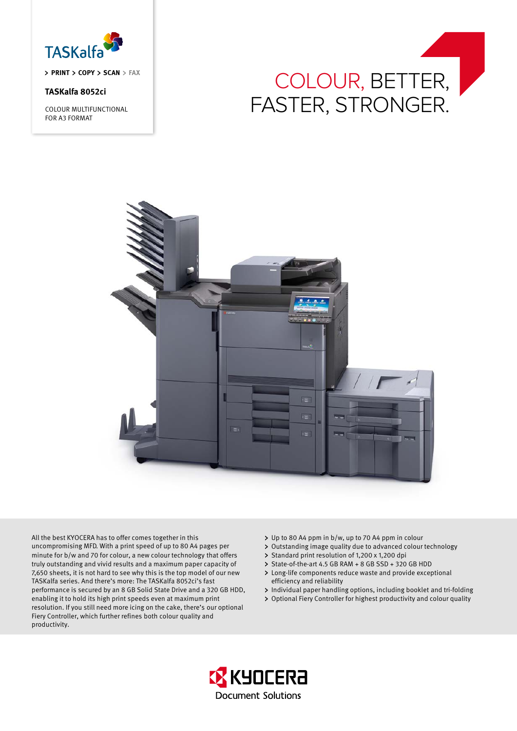

**priNT Copy Scan fax**

# **TASKalfa 8052ci**

COLOUR MULTIFUNCTIONAL FOR A3 FORMAT





All the best KYOCERA has to offer comes together in this uncompromising MFD. With a print speed of up to 80 A4 pages per minute for b/w and 70 for colour, a new colour technology that offers truly outstanding and vivid results and a maximum paper capacity of 7,650 sheets, it is not hard to see why this is the top model of our new TASKalfa series. And there's more: The TASKalfa 8052ci's fast performance is secured by an 8 GB Solid State Drive and a 320 GB HDD, enabling it to hold its high print speeds even at maximum print resolution. If you still need more icing on the cake, there's our optional Fiery Controller, which further refines both colour quality and productivity.

- Up to 80 A4 ppm in b/w, up to 70 A4 ppm in colour
- Outstanding image quality due to advanced colour technology
- > Standard print resolution of 1,200 x 1,200 dpi
- > State-of-the-art 4.5 GB RAM + 8 GB SSD + 320 GB HDD
- Long-life components reduce waste and provide exceptional efficiency and reliability
- > Individual paper handling options, including booklet and tri-folding
- Optional Fiery Controller for highest productivity and colour quality